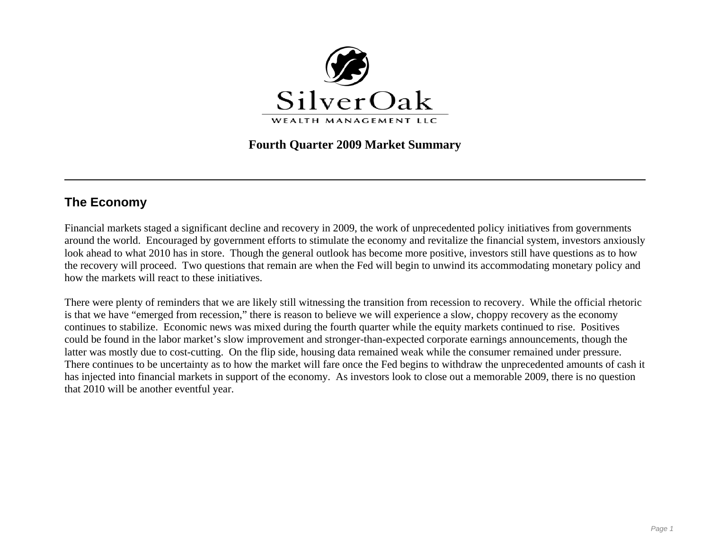

## **Fourth Quarter 2009 Market Summary**

# **The Economy**

Financial markets staged a significant decline and recovery in 2009, the work of unprecedented policy initiatives from governments around the world. Encouraged by government efforts to stimulate the economy and revitalize the financial system, investors anxiously look ahead to what 2010 has in store. Though the general outlook has become more positive, investors still have questions as to how the recovery will proceed. Two questions that remain are when the Fed will begin to unwind its accommodating monetary policy and how the markets will react to these initiatives.

There were plenty of reminders that we are likely still witnessing the transition from recession to recovery. While the official rhetoric is that we have "emerged from recession," there is reason to believe we will experience a slow, choppy recovery as the economy continues to stabilize. Economic news was mixed during the fourth quarter while the equity markets continued to rise. Positives could be found in the labor market's slow improvement and stronger-than-expected corporate earnings announcements, though the latter was mostly due to cost-cutting. On the flip side, housing data remained weak while the consumer remained under pressure. There continues to be uncertainty as to how the market will fare once the Fed begins to withdraw the unprecedented amounts of cash it has injected into financial markets in support of the economy. As investors look to close out a memorable 2009, there is no question that 2010 will be another eventful year.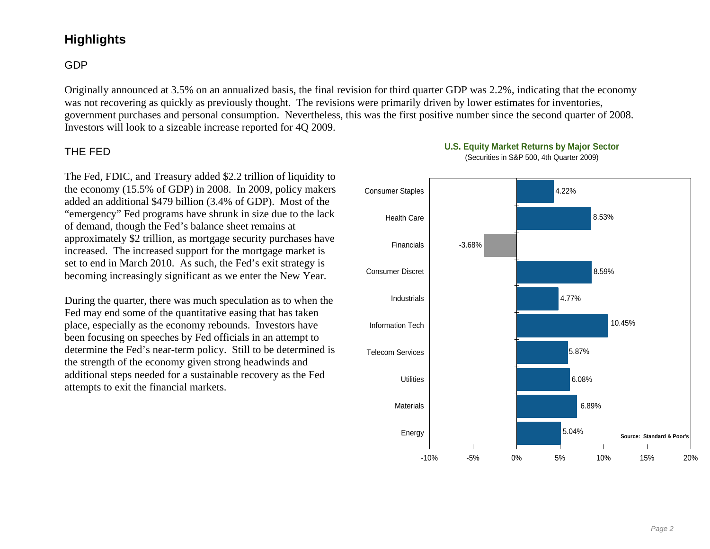# **Highlights**

## GDP

Originally announced at 3.5% on an annualized basis, the final revision for third quarter GDP was 2.2%, indicating that the economy was not recovering as quickly as previously thought. The revisions were primarily driven by lower estimates for inventories, government purchases and personal consumption. Nevertheless, this was the first positive number since the second quarter of 2008. Investors will look to a sizeable increase reported for 4Q 2009.

#### THE FED

The Fed, FDIC, and Treasury added \$2.2 trillion of liquidity to the economy (15.5% of GDP) in 2008. In 2009, policy makers added an additional \$479 billion (3.4% of GDP). Most of the "emergency" Fed programs have shrunk in size due to the lack of demand, though the Fed's balance sheet remains at approximately \$2 trillion, as mortgage security purchases have increased. The increased support for the mortgage market is set to end in March 2010. As such, the Fed's exit strategy is becoming increasingly significant as we enter the New Year.

During the quarter, there was much speculation as to when the Fed may end some of the quantitative easing that has taken place, especially as the economy rebounds. Investors have been focusing on speeches by Fed officials in an attempt to determine the Fed's near-term policy. Still to be determined is the strength of the economy given strong headwinds and additional steps needed for a sustainable recovery as the Fed attempts to exit the financial markets.



### **U.S. Equity Market Returns by Major Sector**

(Securities in S&P 500, 4th Quarter 2009)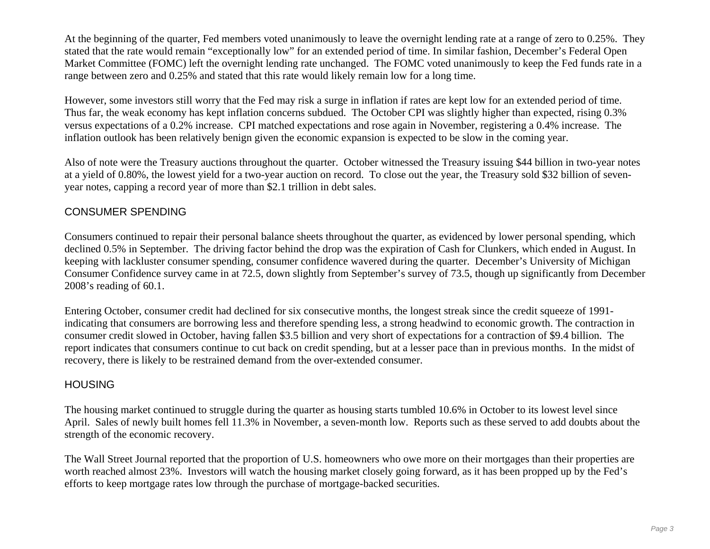At the beginning of the quarter, Fed members voted unanimously to leave the overnight lending rate at a range of zero to 0.25%. They stated that the rate would remain "exceptionally low" for an extended period of time. In similar fashion, December's Federal Open Market Committee (FOMC) left the overnight lending rate unchanged. The FOMC voted unanimously to keep the Fed funds rate in a range between zero and 0.25% and stated that this rate would likely remain low for a long time.

However, some investors still worry that the Fed may risk a surge in inflation if rates are kept low for an extended period of time. Thus far, the weak economy has kept inflation concerns subdued. The October CPI was slightly higher than expected, rising 0.3% versus expectations of a 0.2% increase. CPI matched expectations and rose again in November, registering a 0.4% increase. The inflation outlook has been relatively benign given the economic expansion is expected to be slow in the coming year.

Also of note were the Treasury auctions throughout the quarter. October witnessed the Treasury issuing \$44 billion in two-year notes at a yield of 0.80%, the lowest yield for a two-year auction on record. To close out the year, the Treasury sold \$32 billion of sevenyear notes, capping a record year of more than \$2.1 trillion in debt sales.

### CONSUMER SPENDING

Consumers continued to repair their personal balance sheets throughout the quarter, as evidenced by lower personal spending, which declined 0.5% in September. The driving factor behind the drop was the expiration of Cash for Clunkers, which ended in August. In keeping with lackluster consumer spending, consumer confidence wavered during the quarter. December's University of Michigan Consumer Confidence survey came in at 72.5, down slightly from September's survey of 73.5, though up significantly from December 2008's reading of 60.1.

Entering October, consumer credit had declined for six consecutive months, the longest streak since the credit squeeze of 1991 indicating that consumers are borrowing less and therefore spending less, a strong headwind to economic growth. The contraction in consumer credit slowed in October, having fallen \$3.5 billion and very short of expectations for a contraction of \$9.4 billion. The report indicates that consumers continue to cut back on credit spending, but at a lesser pace than in previous months. In the midst of recovery, there is likely to be restrained demand from the over-extended consumer.

## **HOUSING**

The housing market continued to struggle during the quarter as housing starts tumbled 10.6% in October to its lowest level since April. Sales of newly built homes fell 11.3% in November, a seven-month low. Reports such as these served to add doubts about the strength of the economic recovery.

The Wall Street Journal reported that the proportion of U.S. homeowners who owe more on their mortgages than their properties are worth reached almost 23%. Investors will watch the housing market closely going forward, as it has been propped up by the Fed's efforts to keep mortgage rates low through the purchase of mortgage-backed securities.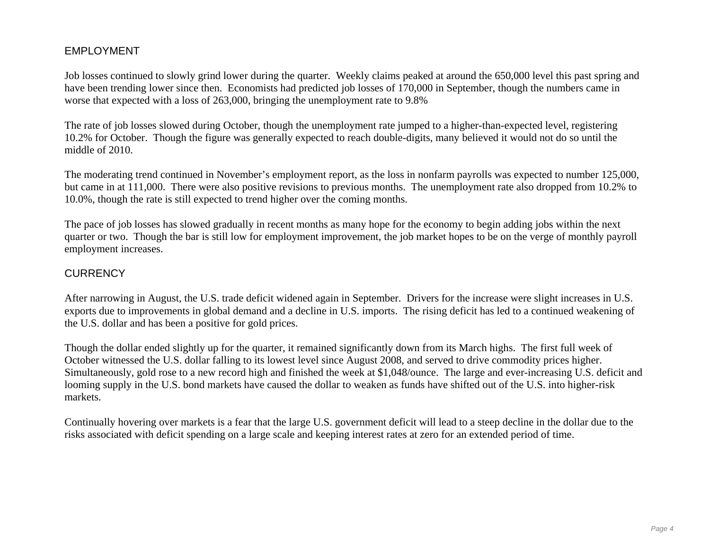### EMPLOYMENT

Job losses continued to slowly grind lower during the quarter. Weekly claims peaked at around the 650,000 level this past spring and have been trending lower since then. Economists had predicted job losses of 170,000 in September, though the numbers came in worse that expected with a loss of 263,000, bringing the unemployment rate to 9.8%

The rate of job losses slowed during October, though the unemployment rate jumped to a higher-than-expected level, registering 10.2% for October. Though the figure was generally expected to reach double-digits, many believed it would not do so until the middle of 2010.

The moderating trend continued in November's employment report, as the loss in nonfarm payrolls was expected to number 125,000, but came in at 111,000. There were also positive revisions to previous months. The unemployment rate also dropped from 10.2% to 10.0%, though the rate is still expected to trend higher over the coming months.

The pace of job losses has slowed gradually in recent months as many hope for the economy to begin adding jobs within the next quarter or two. Though the bar is still low for employment improvement, the job market hopes to be on the verge of monthly payroll employment increases.

#### **CURRENCY**

After narrowing in August, the U.S. trade deficit widened again in September. Drivers for the increase were slight increases in U.S. exports due to improvements in global demand and a decline in U.S. imports. The rising deficit has led to a continued weakening of the U.S. dollar and has been a positive for gold prices.

Though the dollar ended slightly up for the quarter, it remained significantly down from its March highs. The first full week of October witnessed the U.S. dollar falling to its lowest level since August 2008, and served to drive commodity prices higher. Simultaneously, gold rose to a new record high and finished the week at \$1,048/ounce. The large and ever-increasing U.S. deficit and looming supply in the U.S. bond markets have caused the dollar to weaken as funds have shifted out of the U.S. into higher-risk markets.

Continually hovering over markets is a fear that the large U.S. government deficit will lead to a steep decline in the dollar due to the risks associated with deficit spending on a large scale and keeping interest rates at zero for an extended period of time.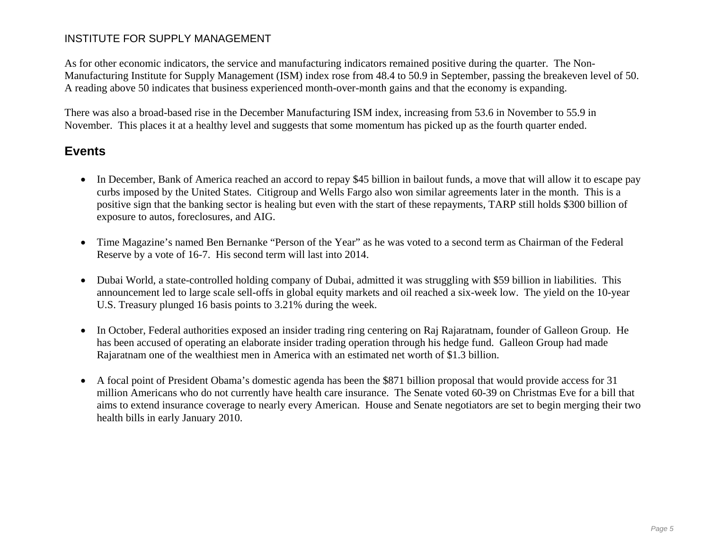#### INSTITUTE FOR SUPPLY MANAGEMENT

As for other economic indicators, the service and manufacturing indicators remained positive during the quarter. The Non-Manufacturing Institute for Supply Management (ISM) index rose from 48.4 to 50.9 in September, passing the breakeven level of 50. A reading above 50 indicates that business experienced month-over-month gains and that the economy is expanding.

There was also a broad-based rise in the December Manufacturing ISM index, increasing from 53.6 in November to 55.9 in November. This places it at a healthy level and suggests that some momentum has picked up as the fourth quarter ended.

## **Events**

- In December, Bank of America reached an accord to repay \$45 billion in bailout funds, a move that will allow it to escape pay curbs imposed by the United States. Citigroup and Wells Fargo also won similar agreements later in the month. This is a positive sign that the banking sector is healing but even with the start of these repayments, TARP still holds \$300 billion of exposure to autos, foreclosures, and AIG.
- Time Magazine's named Ben Bernanke "Person of the Year" as he was voted to a second term as Chairman of the Federal Reserve by a vote of 16-7. His second term will last into 2014.
- $\bullet$  Dubai World, a state-controlled holding company of Dubai, admitted it was struggling with \$59 billion in liabilities. This announcement led to large scale sell-offs in global equity markets and oil reached a six-week low. The yield on the 10-year U.S. Treasury plunged 16 basis points to 3.21% during the week.
- $\bullet$  In October, Federal authorities exposed an insider trading ring centering on Raj Rajaratnam, founder of Galleon Group. He has been accused of operating an elaborate insider trading operation through his hedge fund. Galleon Group had made Rajaratnam one of the wealthiest men in America with an estimated net worth of \$1.3 billion.
- $\bullet$  A focal point of President Obama's domestic agenda has been the \$871 billion proposal that would provide access for 31 million Americans who do not currently have health care insurance. The Senate voted 60-39 on Christmas Eve for a bill that aims to extend insurance coverage to nearly every American. House and Senate negotiators are set to begin merging their two health bills in early January 2010.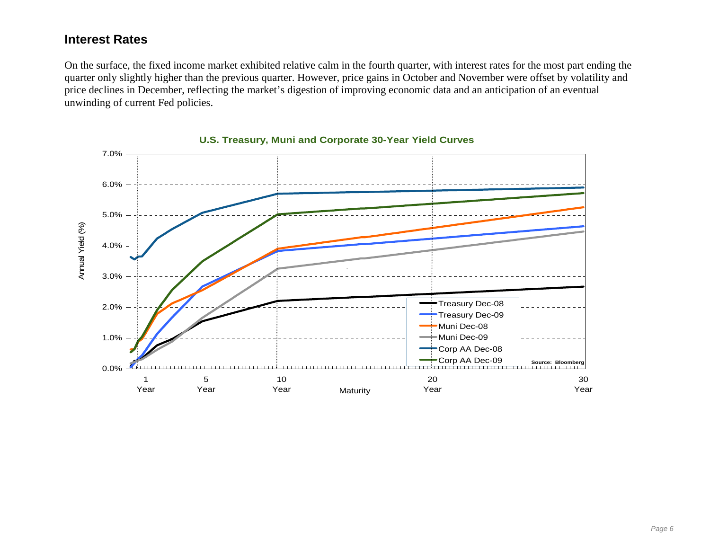## **Interest Rates**

On the surface, the fixed income market exhibited relative calm in the fourth quarter, with interest rates for the most part ending the quarter only slightly higher than the previous quarter. However, price gains in October and November were offset by volatility and price declines in December, reflecting the market's digestion of improving economic data and an anticipation of an eventual unwinding of current Fed policies.



**U.S. Treasury, Muni and Corporate 30-Year Yield Curves**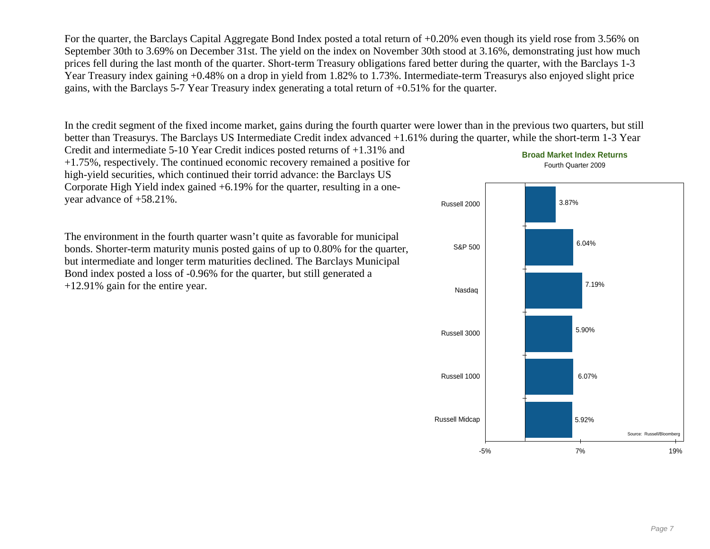For the quarter, the Barclays Capital Aggregate Bond Index posted a total return of +0.20% even though its yield rose from 3.56% on September 30th to 3.69% on December 31st. The yield on the index on November 30th stood at 3.16%, demonstrating just how much prices fell during the last month of the quarter. Short-term Treasury obligations fared better during the quarter, with the Barclays 1-3 Year Treasury index gaining +0.48% on a drop in yield from 1.82% to 1.73%. Intermediate-term Treasurys also enjoyed slight price gains, with the Barclays 5-7 Year Treasury index generating a total return of +0.51% for the quarter.

In the credit segment of the fixed income market, gains during the fourth quarter were lower than in the previous two quarters, but still better than Treasurys. The Barclays US Intermediate Credit index advanced +1.61% during the quarter, while the short-term 1-3 Year

Credit and intermediate 5-10 Year Credit indices posted returns of +1.31% and +1.75%, respectively. The continued economic recovery remained a positive for high-yield securities, which continued their torrid advance: the Barclays US Corporate High Yield index gained +6.19% for the quarter, resulting in a oneyear advance of +58.21%.

The environment in the fourth quarter wasn't quite as favorable for municipal bonds. Shorter-term maturity munis posted gains of up to 0.80% for the quarter, but intermediate and longer term maturities declined. The Barclays Municipal Bond index posted a loss of -0.96% for the quarter, but still generated a +12.91% gain for the entire year.